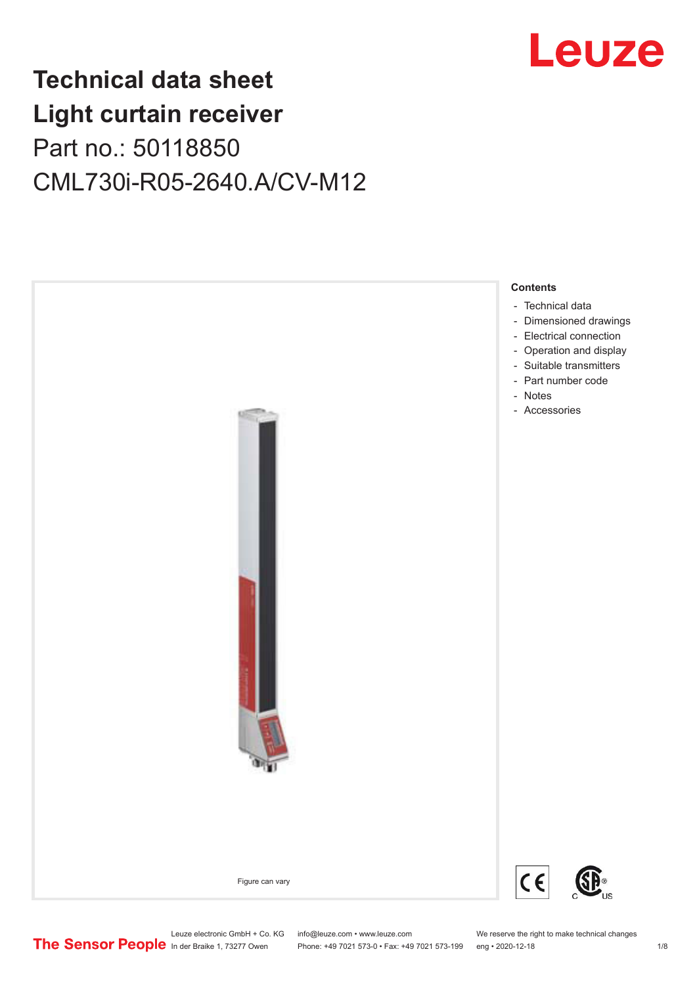

## **Technical data sheet Light curtain receiver** Part no.: 50118850 CML730i-R05-2640.A/CV-M12



Leuze electronic GmbH + Co. KG info@leuze.com • www.leuze.com We reserve the right to make technical changes<br>
The Sensor People in der Braike 1, 73277 Owen Phone: +49 7021 573-0 • Fax: +49 7021 573-199 eng • 2020-12-18

Phone: +49 7021 573-0 • Fax: +49 7021 573-199 eng • 2020-12-18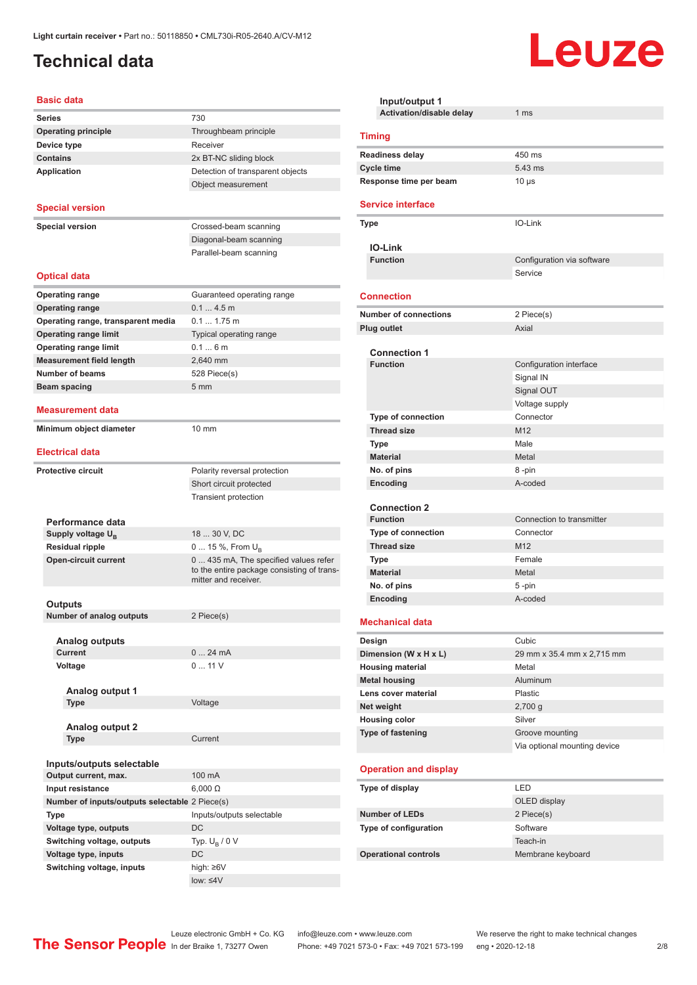## <span id="page-1-0"></span>**Technical data**

#### **Basic data**

| Series                                         | 730                                        |
|------------------------------------------------|--------------------------------------------|
| <b>Operating principle</b>                     | Throughbeam principle                      |
| Device type                                    | Receiver                                   |
| <b>Contains</b>                                | 2x BT-NC sliding block                     |
| <b>Application</b>                             | Detection of transparent objects           |
|                                                | Object measurement                         |
|                                                |                                            |
| <b>Special version</b>                         |                                            |
|                                                |                                            |
| <b>Special version</b>                         | Crossed-beam scanning                      |
|                                                | Diagonal-beam scanning                     |
|                                                | Parallel-beam scanning                     |
| <b>Optical data</b>                            |                                            |
|                                                |                                            |
| <b>Operating range</b>                         | Guaranteed operating range                 |
| <b>Operating range</b>                         | $0.14.5$ m                                 |
| Operating range, transparent media             | 0.1 1.75 m                                 |
| <b>Operating range limit</b>                   | Typical operating range                    |
| <b>Operating range limit</b>                   | 0.16m                                      |
| <b>Measurement field length</b>                | 2.640 mm                                   |
| <b>Number of beams</b>                         | 528 Piece(s)                               |
| Beam spacing                                   | 5 <sub>mm</sub>                            |
|                                                |                                            |
| Measurement data                               |                                            |
| Minimum object diameter                        | 10 mm                                      |
|                                                |                                            |
| <b>Electrical data</b>                         |                                            |
| <b>Protective circuit</b>                      | Polarity reversal protection               |
|                                                | Short circuit protected                    |
|                                                | <b>Transient protection</b>                |
|                                                |                                            |
| Performance data                               |                                            |
| Supply voltage $U_{\rm B}$                     | 18  30 V, DC                               |
| <b>Residual ripple</b>                         | 0  15 %, From $U_{\rm B}$                  |
| <b>Open-circuit current</b>                    | 0  435 mA, The specified values refer      |
|                                                | to the entire package consisting of trans- |
|                                                | mitter and receiver.                       |
| Outputs                                        |                                            |
| <b>Number of analog outputs</b>                | 2 Piece(s)                                 |
|                                                |                                            |
| <b>Analog outputs</b>                          |                                            |
| <b>Current</b>                                 | 024mA                                      |
| Voltage                                        | 011V                                       |
|                                                |                                            |
| Analog output 1                                |                                            |
| <b>Type</b>                                    | Voltage                                    |
|                                                |                                            |
| Analog output 2                                |                                            |
| <b>Type</b>                                    | Current                                    |
|                                                |                                            |
| Inputs/outputs selectable                      |                                            |
| Output current, max.                           | 100 mA                                     |
| Input resistance                               | $6,000 \Omega$                             |
| Number of inputs/outputs selectable 2 Piece(s) |                                            |
| <b>Type</b>                                    | Inputs/outputs selectable                  |
| Voltage type, outputs                          | DC                                         |
| Switching voltage, outputs                     | Typ. $U_R / 0 V$                           |
| Voltage type, inputs                           | DC                                         |
| Switching voltage, inputs                      | high: $\geq 6V$                            |
|                                                |                                            |

| Input/output 1                           | 1 <sub>ms</sub>               |  |
|------------------------------------------|-------------------------------|--|
| Activation/disable delay                 |                               |  |
| <b>Timing</b>                            |                               |  |
| <b>Readiness delay</b>                   | 450 ms                        |  |
| <b>Cycle time</b>                        | 5.43 ms                       |  |
| Response time per beam                   | $10 \mu s$                    |  |
| <b>Service interface</b>                 |                               |  |
| Type                                     | IO-Link                       |  |
| <b>IO-Link</b>                           |                               |  |
| <b>Function</b>                          | Configuration via software    |  |
|                                          | Service                       |  |
| <b>Connection</b>                        |                               |  |
| <b>Number of connections</b>             | 2 Piece(s)                    |  |
| <b>Plug outlet</b>                       | Axial                         |  |
| <b>Connection 1</b>                      |                               |  |
| <b>Function</b>                          | Configuration interface       |  |
|                                          | Signal IN                     |  |
|                                          | Signal OUT                    |  |
|                                          | Voltage supply                |  |
| Type of connection                       | Connector                     |  |
| <b>Thread size</b>                       | M12                           |  |
| <b>Type</b>                              | Male                          |  |
| <b>Material</b>                          | Metal                         |  |
| No. of pins                              | 8-pin                         |  |
| Encoding                                 | A-coded                       |  |
|                                          |                               |  |
| <b>Connection 2</b>                      |                               |  |
| <b>Function</b>                          | Connection to transmitter     |  |
| Type of connection<br><b>Thread size</b> | Connector<br>M <sub>12</sub>  |  |
| <b>Type</b>                              | Female                        |  |
| <b>Material</b>                          | Metal                         |  |
| No. of pins                              | 5-pin                         |  |
| Encoding                                 | A-coded                       |  |
|                                          |                               |  |
| <b>Mechanical data</b>                   |                               |  |
| Design                                   | Cubic                         |  |
| Dimension (W x H x L)                    | 29 mm x 35.4 mm x 2,715 mm    |  |
| <b>Housing material</b>                  | Metal                         |  |
| <b>Metal housing</b>                     | Aluminum                      |  |
| Lens cover material                      | Plastic                       |  |
| Net weight<br><b>Housing color</b>       | $2,700$ g<br>Silver           |  |
| <b>Type of fastening</b>                 | Groove mounting               |  |
|                                          | Via optional mounting device  |  |
|                                          |                               |  |
| <b>Operation and display</b>             |                               |  |
| Type of display                          | LED                           |  |
|                                          | OLED display                  |  |
| <b>Number of LEDs</b>                    | 2 Piece(s)                    |  |
| Type of configuration                    | Software                      |  |
| <b>Operational controls</b>              | Teach-in<br>Membrane keyboard |  |
|                                          |                               |  |

Leuze

low: ≤4V

Leuze electronic GmbH + Co. KG info@leuze.com • www.leuze.com We reserve the right to make technical changes

ln der Braike 1, 73277 Owen Phone: +49 7021 573-0 • Fax: +49 7021 573-199 eng • 2020-12-18 2/8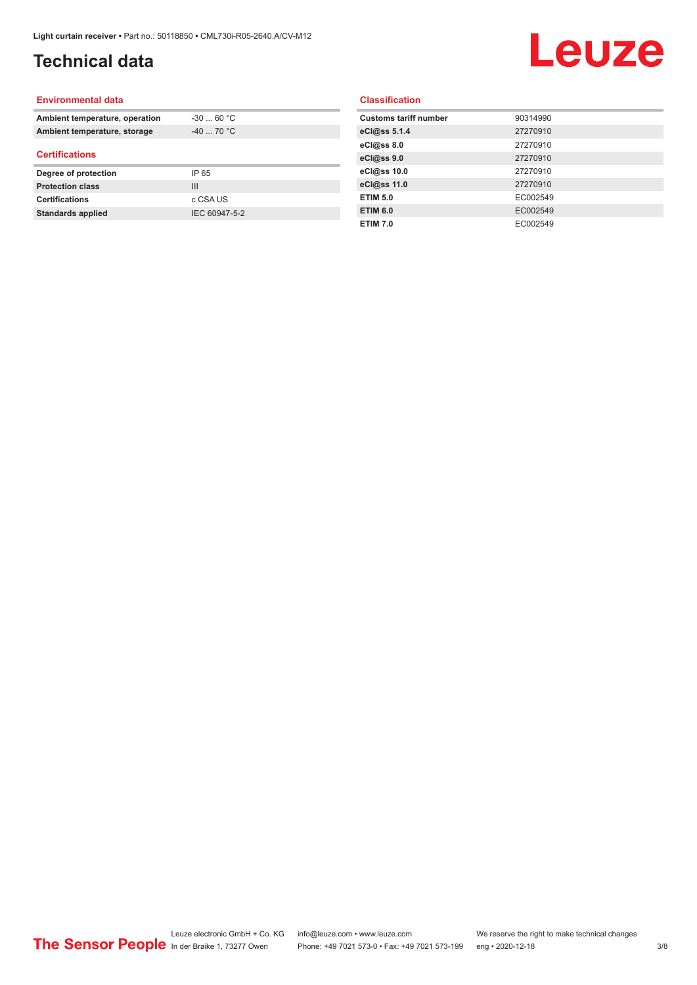## **Technical data**

# Leuze

#### **Environmental data**

| Ambient temperature, operation | $-30$ 60 °C |  |
|--------------------------------|-------------|--|
| Ambient temperature, storage   | $-40$ 70 °C |  |
| <b>Certifications</b>          |             |  |
|                                |             |  |
| Degree of protection           | IP 65       |  |
| <b>Protection class</b>        | Ш           |  |
| <b>Certifications</b>          | c CSA US    |  |

#### **Classification**

| <b>Customs tariff number</b> | 90314990 |
|------------------------------|----------|
| eCl@ss 5.1.4                 | 27270910 |
| eCl@ss 8.0                   | 27270910 |
| eCl@ss 9.0                   | 27270910 |
| eCl@ss 10.0                  | 27270910 |
| eCl@ss 11.0                  | 27270910 |
| <b>ETIM 5.0</b>              | EC002549 |
| <b>ETIM 6.0</b>              | EC002549 |
| <b>ETIM 7.0</b>              | EC002549 |
|                              |          |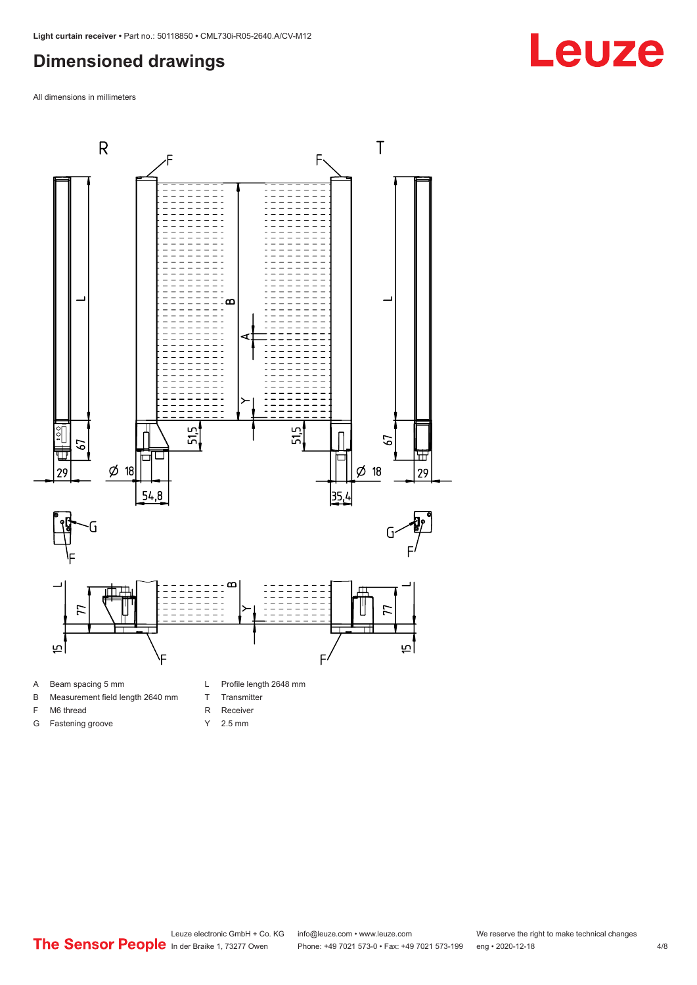### <span id="page-3-0"></span>**Dimensioned drawings**

All dimensions in millimeters



#### A Beam spacing 5 mm

- B Measurement field length 2640 mm
- F M6 thread
- G Fastening groove
- L Profile length 2648 mm
- T Transmitter
- R Receiver
- Y 2.5 mm

## **Leuze**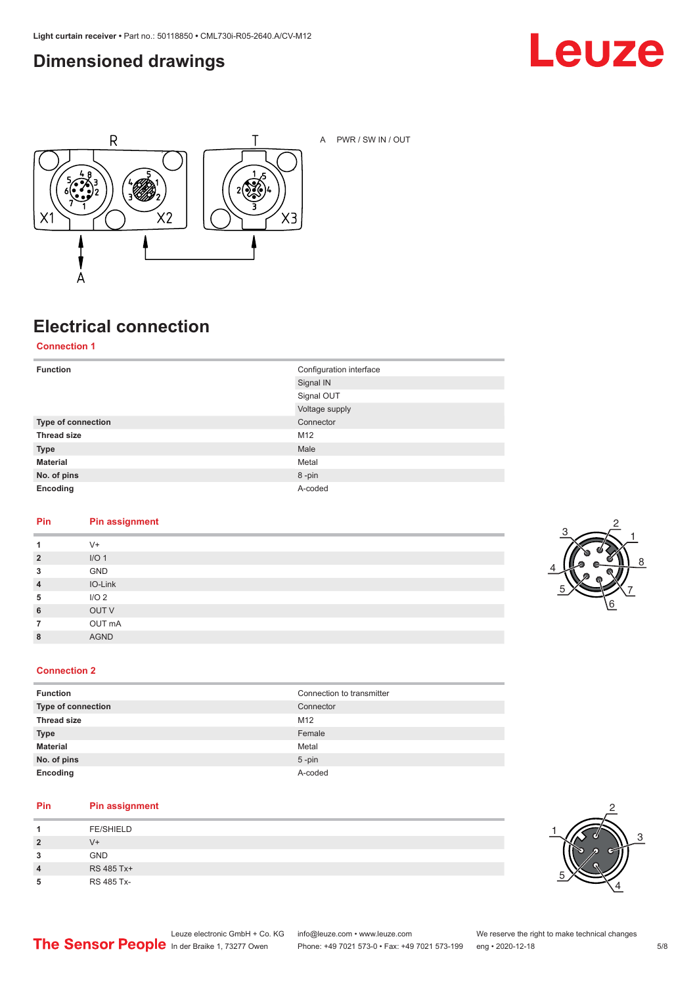### <span id="page-4-0"></span>**Dimensioned drawings**





A PWR / SW IN / OUT

## **Electrical connection**

**Connection 1**

| <b>Function</b>    | Configuration interface |
|--------------------|-------------------------|
|                    | Signal IN               |
|                    | Signal OUT              |
|                    | Voltage supply          |
| Type of connection | Connector               |
| <b>Thread size</b> | M12                     |
| <b>Type</b>        | Male                    |
| <b>Material</b>    | Metal                   |
| No. of pins        | 8-pin                   |
| Encoding           | A-coded                 |

#### **Pin Pin assignment**

| 1              | $V +$            |
|----------------|------------------|
| $\overline{2}$ | I/O <sub>1</sub> |
| 3              | GND              |
| $\overline{4}$ | IO-Link          |
| 5              | I/O <sub>2</sub> |
| 6              | OUT V            |
| $\overline{7}$ | OUT mA           |
| 8              | <b>AGND</b>      |
|                |                  |



#### **Connection 2**

| <b>Function</b>    | Connection to transmitter |
|--------------------|---------------------------|
| Type of connection | Connector                 |
| <b>Thread size</b> | M12                       |
| <b>Type</b>        | Female                    |
| <b>Material</b>    | Metal                     |
| No. of pins        | $5$ -pin                  |
| Encoding           | A-coded                   |

#### **Pin Pin assignment**

| л              | <b>FE/SHIELD</b> |
|----------------|------------------|
| $\overline{2}$ | V+               |
| 3              | <b>GND</b>       |
| 4              | RS 485 Tx+       |
| 5              | RS 485 Tx-       |

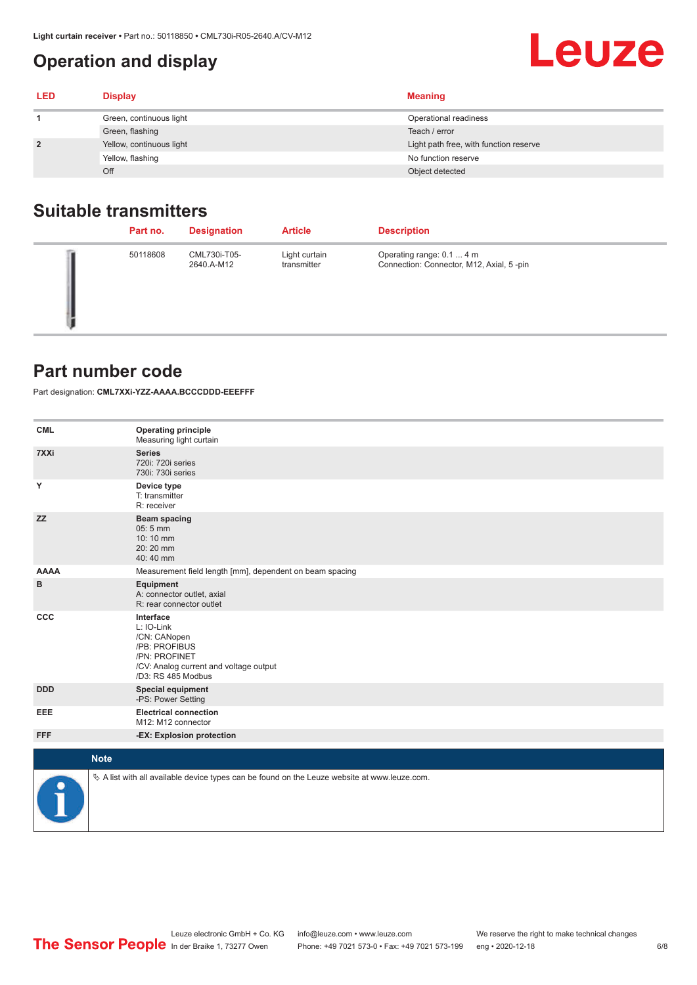### <span id="page-5-0"></span>**Operation and display**

| LED | <b>Display</b>           | <b>Meaning</b>                         |
|-----|--------------------------|----------------------------------------|
|     | Green, continuous light  | Operational readiness                  |
|     | Green, flashing          | Teach / error                          |
|     | Yellow, continuous light | Light path free, with function reserve |
|     | Yellow, flashing         | No function reserve                    |
|     | Off                      | Object detected                        |

### **Suitable transmitters**

| Part no. | <b>Designation</b>         | <b>Article</b>               | <b>Description</b>                                                    |
|----------|----------------------------|------------------------------|-----------------------------------------------------------------------|
| 50118608 | CML730i-T05-<br>2640.A-M12 | Light curtain<br>transmitter | Operating range: 0.1  4 m<br>Connection: Connector, M12, Axial, 5-pin |

#### **Part number code**

Part designation: **CML7XXi-YZZ-AAAA.BCCCDDD-EEEFFF**

| <b>CML</b>           | <b>Operating principle</b><br>Measuring light curtain                                                                                     |
|----------------------|-------------------------------------------------------------------------------------------------------------------------------------------|
| 7XXi                 | <b>Series</b><br>720i: 720i series<br>730i: 730i series                                                                                   |
| Y                    | Device type<br>T: transmitter<br>R: receiver                                                                                              |
| <b>ZZ</b>            | <b>Beam spacing</b><br>05:5 mm<br>10:10 mm<br>20:20 mm<br>40:40 mm                                                                        |
| <b>AAAA</b>          | Measurement field length [mm], dependent on beam spacing                                                                                  |
| в                    | Equipment<br>A: connector outlet, axial<br>R: rear connector outlet                                                                       |
| CCC                  | Interface<br>L: IO-Link<br>/CN: CANopen<br>/PB: PROFIBUS<br>/PN: PROFINET<br>/CV: Analog current and voltage output<br>/D3: RS 485 Modbus |
| <b>DDD</b>           | <b>Special equipment</b><br>-PS: Power Setting                                                                                            |
| <b>EEE</b>           | <b>Electrical connection</b><br>M12: M12 connector                                                                                        |
| <b>FFF</b>           | -EX: Explosion protection                                                                                                                 |
| <b>Note</b>          |                                                                                                                                           |
|                      |                                                                                                                                           |
| $\ddot{\phantom{1}}$ | $\&$ A list with all available device types can be found on the Leuze website at www.leuze.com.                                           |

Leuze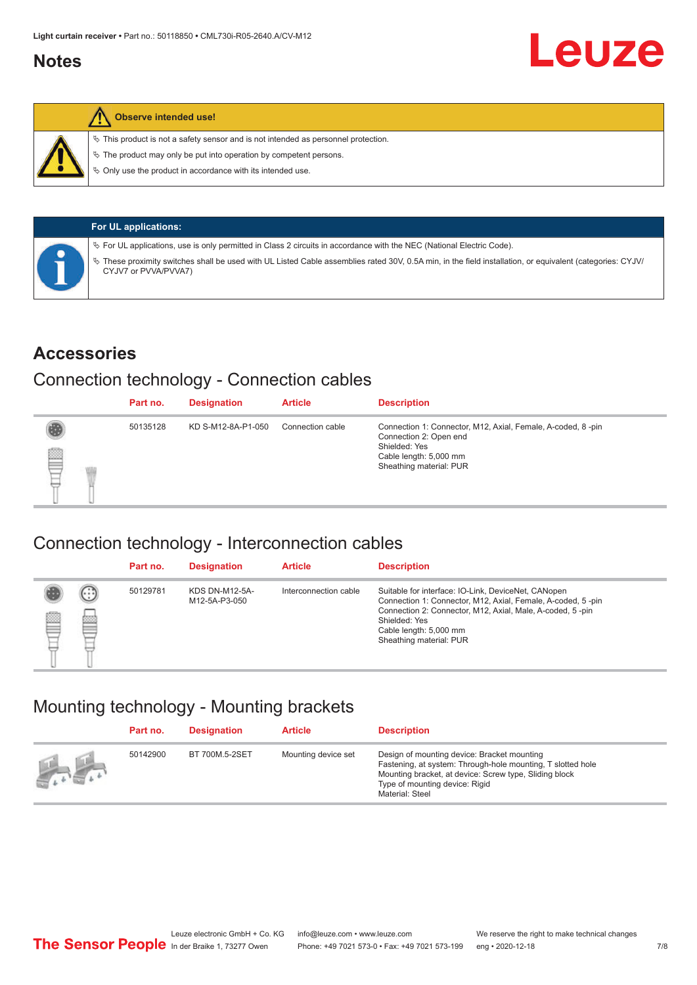#### <span id="page-6-0"></span>**Notes**



#### **Observe intended use!**

 $\%$  This product is not a safety sensor and is not intended as personnel protection.

 $\%$  The product may only be put into operation by competent persons.

 $\%$  Only use the product in accordance with its intended use.

| <b>For UL applications:</b>                                                                                                                                                       |
|-----------------------------------------------------------------------------------------------------------------------------------------------------------------------------------|
| $\%$ For UL applications, use is only permitted in Class 2 circuits in accordance with the NEC (National Electric Code).                                                          |
| V These proximity switches shall be used with UL Listed Cable assemblies rated 30V, 0.5A min, in the field installation, or equivalent (categories: CYJV/<br>CYJV7 or PVVA/PVVA7) |

#### **Accessories**

#### Connection technology - Connection cables

|   | Part no. | <b>Designation</b> | <b>Article</b>   | <b>Description</b>                                                                                                                                          |
|---|----------|--------------------|------------------|-------------------------------------------------------------------------------------------------------------------------------------------------------------|
| ₿ | 50135128 | KD S-M12-8A-P1-050 | Connection cable | Connection 1: Connector, M12, Axial, Female, A-coded, 8-pin<br>Connection 2: Open end<br>Shielded: Yes<br>Cable length: 5,000 mm<br>Sheathing material: PUR |

#### Connection technology - Interconnection cables

|   |                   | Part no. | <b>Designation</b>                     | <b>Article</b>        | <b>Description</b>                                                                                                                                                                                                                                    |
|---|-------------------|----------|----------------------------------------|-----------------------|-------------------------------------------------------------------------------------------------------------------------------------------------------------------------------------------------------------------------------------------------------|
| Ø | $(\cdot$ : :<br>Þ | 50129781 | <b>KDS DN-M12-5A-</b><br>M12-5A-P3-050 | Interconnection cable | Suitable for interface: IO-Link, DeviceNet, CANopen<br>Connection 1: Connector, M12, Axial, Female, A-coded, 5-pin<br>Connection 2: Connector, M12, Axial, Male, A-coded, 5-pin<br>Shielded: Yes<br>Cable length: 5,000 mm<br>Sheathing material: PUR |

#### Mounting technology - Mounting brackets

|               | Part no. | <b>Designation</b> | <b>Article</b>      | <b>Description</b>                                                                                                                                                                                                        |
|---------------|----------|--------------------|---------------------|---------------------------------------------------------------------------------------------------------------------------------------------------------------------------------------------------------------------------|
| $\frac{1}{2}$ | 50142900 | BT 700M.5-2SET     | Mounting device set | Design of mounting device: Bracket mounting<br>Fastening, at system: Through-hole mounting, T slotted hole<br>Mounting bracket, at device: Screw type, Sliding block<br>Type of mounting device: Rigid<br>Material: Steel |

Leuze